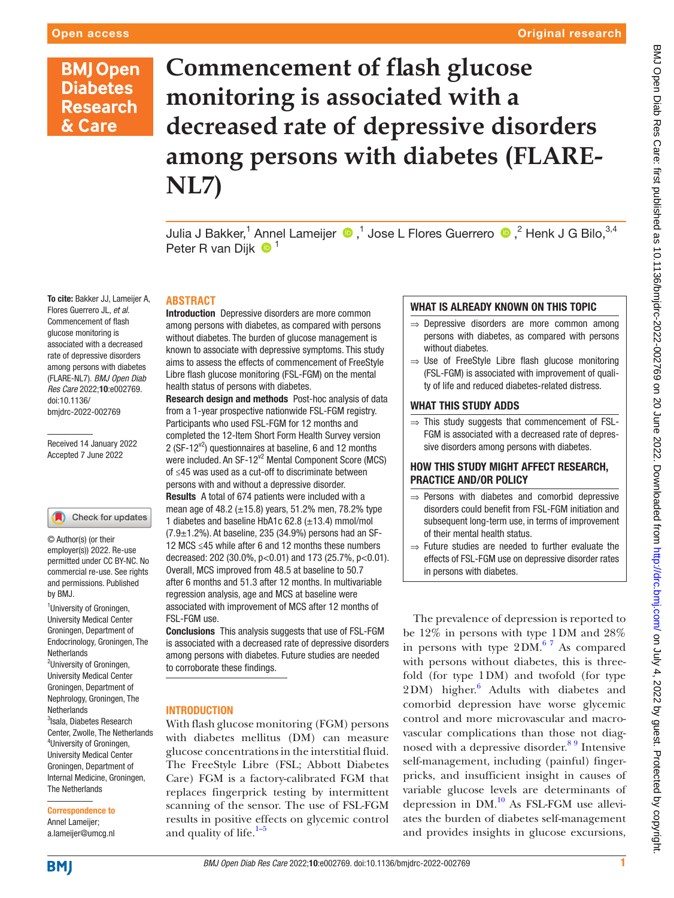# **BMJ Open Diabetes Research** & Care

To cite: Bakker JJ, Lameijer A, Flores Guerrero JL, *et al*. Commencement of flash glucose monitoring is associated with a decreased rate of depressive disorders among persons with diabetes (FLARE-NL7). *BMJ Open Diab Res Care* 2022;10:e002769.

doi:10.1136/ bmjdrc-2022-002769

Received 14 January 2022 Accepted 7 June 2022

Check for updates

# **Commencement of flash glucose monitoring is associated with a decreased rate of depressive disorders among persons with diabetes (FLARE-NL7)**

JuliaJ Bakker,<sup>1</sup> Annel Lameijer  $\bm{\Phi}$  ,<sup>1</sup> Jose L Flores Guerrero  $\bm{\Phi}$  ,<sup>2</sup> Henk J G Bilo,<sup>3,4</sup> Peter R van Dijk  $\bullet$ <sup>1</sup>

## **ABSTRACT**

Introduction Depressive disorders are more common among persons with diabetes, as compared with persons without diabetes. The burden of glucose management is known to associate with depressive symptoms. This study aims to assess the effects of commencement of FreeStyle Libre flash glucose monitoring (FSL-FGM) on the mental health status of persons with diabetes.

Research design and methods Post-hoc analysis of data from a 1-year prospective nationwide FSL-FGM registry. Participants who used FSL-FGM for 12 months and completed the 12-Item Short Form Health Survey version 2 ( $SF-12^{v2}$ ) questionnaires at baseline, 6 and 12 months were included. An SF-12<sup>v2</sup> Mental Component Score (MCS) of ≤45 was used as a cut-off to discriminate between persons with and without a depressive disorder. Results A total of 674 patients were included with a mean age of 48.2 ( $\pm$ 15.8) years, 51.2% men, 78.2% type 1 diabetes and baseline HbA1c  $62.8$  ( $\pm$ 13.4) mmol/mol  $(7.9 \pm 1.2\%)$ . At baseline, 235 (34.9%) persons had an SF-12 MCS ≤45 while after 6 and 12 months these numbers decreased: 202 (30.0%, p<0.01) and 173 (25.7%, p<0.01). Overall, MCS improved from 48.5 at baseline to 50.7 after 6 months and 51.3 after 12 months. In multivariable regression analysis, age and MCS at baseline were associated with improvement of MCS after 12 months of FSL-FGM use.

Conclusions This analysis suggests that use of FSL-FGM is associated with a decreased rate of depressive disorders among persons with diabetes. Future studies are needed to corroborate these findings.

#### INTRODUCTION

With flash glucose monitoring (FGM) persons with diabetes mellitus (DM) can measure glucose concentrations in the interstitial fluid. The FreeStyle Libre (FSL; Abbott Diabetes Care) FGM is a factory-calibrated FGM that replaces fingerprick testing by intermittent scanning of the sensor. The use of FSL-FGM results in positive effects on glycemic control and quality of life. $1-5$ 

#### WHAT IS ALREADY KNOWN ON THIS TOPIC

- ⇒ Depressive disorders are more common among persons with diabetes, as compared with persons without diabetes.
- ⇒ Use of FreeStyle Libre flash glucose monitoring (FSL-FGM) is associated with improvement of quality of life and reduced diabetes-related distress.

### WHAT THIS STUDY ADDS

 $\Rightarrow$  This study suggests that commencement of FSL-FGM is associated with a decreased rate of depressive disorders among persons with diabetes.

# HOW THIS STUDY MIGHT AFFECT RESEARCH, PRACTICE AND/OR POLICY

- ⇒ Persons with diabetes and comorbid depressive disorders could benefit from FSL-FGM initiation and subsequent long-term use, in terms of improvement of their mental health status.
- ⇒ Future studies are needed to further evaluate the effects of FSL-FGM use on depressive disorder rates in persons with diabetes.

The prevalence of depression is reported to be 12% in persons with type 1DM and 28% in persons with type  $2DM.<sup>67</sup>$  As compared with persons without diabetes, this is threefold (for type 1DM) and twofold (for type 2DM) higher.<sup>[6](#page-4-1)</sup> Adults with diabetes and comorbid depression have worse glycemic control and more microvascular and macrovascular complications than those not diagnosed with a depressive disorder.<sup>89</sup> Intensive self-management, including (painful) fingerpricks, and insufficient insight in causes of variable glucose levels are determinants of depression in DM.[10](#page-4-3) As FSL-FGM use alleviates the burden of diabetes self-management and provides insights in glucose excursions,

**BMI** 

<sup>1</sup>University of Groningen, University Medical Center Groningen, Department of Endocrinology, Groningen, The

© Author(s) (or their employer(s)) 2022. Re-use permitted under CC BY-NC. No commercial re-use. See rights and permissions. Published

<sup>2</sup>University of Groningen, University Medical Center Groningen, Department of Nephrology, Groningen, The

<sup>3</sup>Isala, Diabetes Research Center, Zwolle, The Netherlands 4 University of Groningen, University Medical Center Groningen, Department of Internal Medicine, Groningen,

**Netherlands** 

by BMJ.

**Netherlands** 

The Netherlands

Correspondence to Annel Lameijer; a.lameijer@umcg.nl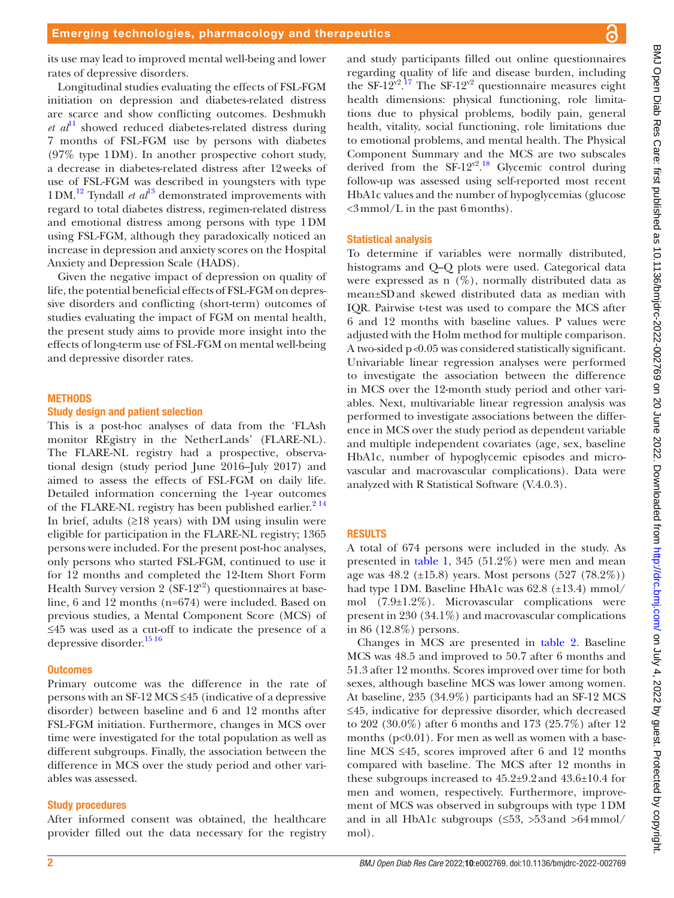its use may lead to improved mental well-being and lower rates of depressive disorders.

Longitudinal studies evaluating the effects of FSL-FGM initiation on depression and diabetes-related distress are scarce and show conflicting outcomes. Deshmukh  $et \text{ } a^{\dagger}$  showed reduced diabetes-related distress during 7 months of FSL-FGM use by persons with diabetes (97% type 1DM). In another prospective cohort study, a decrease in diabetes-related distress after 12weeks of use of FSL-FGM was described in youngsters with type 1DM[.12](#page-4-5) Tyndall *et al*[13](#page-4-6) demonstrated improvements with regard to total diabetes distress, regimen-related distress and emotional distress among persons with type 1DM using FSL-FGM, although they paradoxically noticed an increase in depression and anxiety scores on the Hospital Anxiety and Depression Scale (HADS).

Given the negative impact of depression on quality of life, the potential beneficial effects of FSL-FGM on depressive disorders and conflicting (short-term) outcomes of studies evaluating the impact of FGM on mental health, the present study aims to provide more insight into the effects of long-term use of FSL-FGM on mental well-being and depressive disorder rates.

#### METHODS

#### Study design and patient selection

This is a post-hoc analyses of data from the 'FLAsh monitor REgistry in the NetherLands' (FLARE-NL). The FLARE-NL registry had a prospective, observational design (study period June 2016–July 2017) and aimed to assess the effects of FSL-FGM on daily life. Detailed information concerning the 1-year outcomes of the FLARE-NL registry has been published earlier.<sup>214</sup> In brief, adults  $(≥18$  years) with DM using insulin were eligible for participation in the FLARE-NL registry; 1365 persons were included. For the present post-hoc analyses, only persons who started FSL-FGM, continued to use it for 12 months and completed the 12-Item Short Form Health Survey version 2 ( $SF-12^{v^2}$ ) questionnaires at baseline, 6 and 12 months (n=674) were included. Based on previous studies, a Mental Component Score (MCS) of ≤45 was used as a cut-off to indicate the presence of a depressive disorder. [15 16](#page-4-8)

#### **Outcomes**

Primary outcome was the difference in the rate of persons with an SF-12 MCS ≤45 (indicative of a depressive disorder) between baseline and 6 and 12 months after FSL-FGM initiation. Furthermore, changes in MCS over time were investigated for the total population as well as different subgroups. Finally, the association between the difference in MCS over the study period and other variables was assessed.

#### Study procedures

After informed consent was obtained, the healthcare provider filled out the data necessary for the registry

and study participants filled out online questionnaires regarding quality of life and disease burden, including the SF-12<sup>v2</sup>.<sup>[17](#page-4-9)</sup> The SF-12<sup>v2</sup> questionnaire measures eight health dimensions: physical functioning, role limitations due to physical problems, bodily pain, general health, vitality, social functioning, role limitations due to emotional problems, and mental health. The Physical Component Summary and the MCS are two subscales derived from the SF-12 $v^2$ .<sup>[18](#page-4-10)</sup> Glycemic control during follow-up was assessed using self-reported most recent HbA1c values and the number of hypoglycemias (glucose  $\langle$ 3 mmol/L in the past 6 months).

#### Statistical analysis

To determine if variables were normally distributed, histograms and Q–Q plots were used. Categorical data were expressed as n  $(\%)$ , normally distributed data as mean±SDand skewed distributed data as median with IQR. Pairwise t-test was used to compare the MCS after 6 and 12 months with baseline values. P values were adjusted with the Holm method for multiple comparison. A two-sided p*<*0.05 was considered statistically significant. Univariable linear regression analyses were performed to investigate the association between the difference in MCS over the 12-month study period and other variables. Next, multivariable linear regression analysis was performed to investigate associations between the difference in MCS over the study period as dependent variable and multiple independent covariates (age, sex, baseline HbA1c, number of hypoglycemic episodes and microvascular and macrovascular complications). Data were analyzed with R Statistical Software (V.4.0.3).

#### RESULTS

A total of 674 persons were included in the study. As presented in [table](#page-2-0) 1, 345 (51.2%) were men and mean age was  $48.2$  ( $\pm 15.8$ ) years. Most persons (527 (78.2%)) had type 1DM. Baseline HbA1c was 62.8 (±13.4) mmol/ mol (7.9±1.2%). Microvascular complications were present in 230 (34.1%) and macrovascular complications in 86 (12.8%) persons.

Changes in MCS are presented in [table](#page-3-0) 2. Baseline MCS was 48.5 and improved to 50.7 after 6 months and 51.3 after 12 months. Scores improved over time for both sexes, although baseline MCS was lower among women. At baseline, 235 (34.9%) participants had an SF-12 MCS ≤45, indicative for depressive disorder, which decreased to 202 (30.0%) after 6 months and 173 (25.7%) after 12 months  $(p<0.01)$ . For men as well as women with a baseline MCS ≤45, scores improved after 6 and 12 months compared with baseline. The MCS after 12 months in these subgroups increased to 45.2±9.2and 43.6±10.4 for men and women, respectively. Furthermore, improvement of MCS was observed in subgroups with type 1DM and in all HbA1c subgroups (≤53, >53and >64mmol/ mol).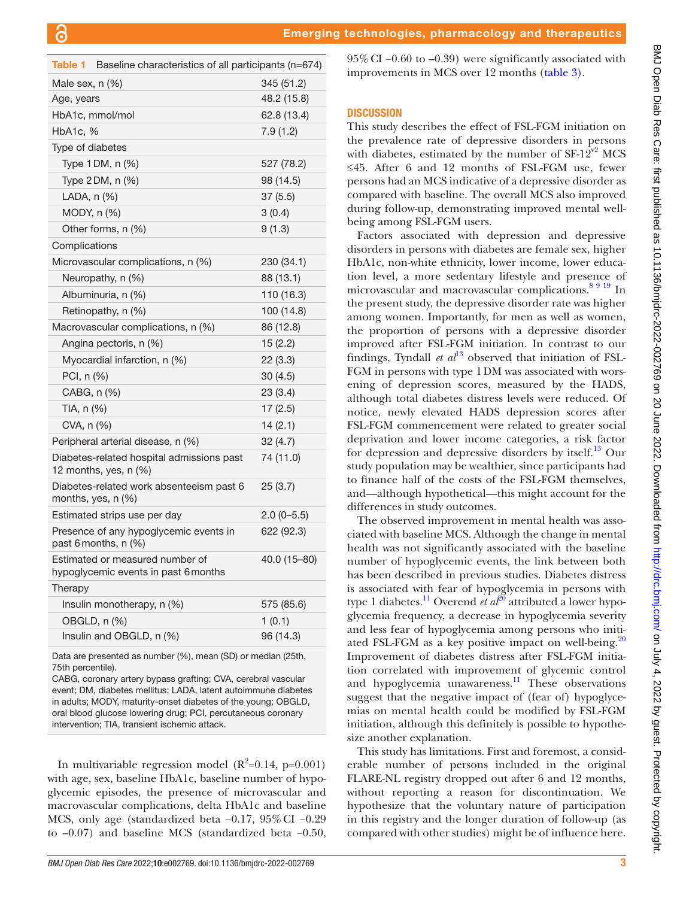<span id="page-2-0"></span>

| Table 1<br>Baseline characteristics of all participants (n=674)         |              |  |  |  |  |  |
|-------------------------------------------------------------------------|--------------|--|--|--|--|--|
| Male sex, n (%)                                                         | 345 (51.2)   |  |  |  |  |  |
| Age, years                                                              | 48.2 (15.8)  |  |  |  |  |  |
| HbA1c, mmol/mol                                                         | 62.8 (13.4)  |  |  |  |  |  |
| HbA1c, %                                                                | 7.9 (1.2)    |  |  |  |  |  |
| Type of diabetes                                                        |              |  |  |  |  |  |
| Type 1 DM, n (%)                                                        | 527 (78.2)   |  |  |  |  |  |
| Type 2DM, n (%)                                                         | 98 (14.5)    |  |  |  |  |  |
| LADA, $n$ $%$                                                           | 37(5.5)      |  |  |  |  |  |
| MODY, n (%)                                                             | 3(0.4)       |  |  |  |  |  |
| Other forms, n (%)                                                      | 9(1.3)       |  |  |  |  |  |
| Complications                                                           |              |  |  |  |  |  |
| Microvascular complications, n (%)                                      | 230 (34.1)   |  |  |  |  |  |
| Neuropathy, n (%)                                                       | 88 (13.1)    |  |  |  |  |  |
| Albuminuria, n (%)                                                      | 110 (16.3)   |  |  |  |  |  |
| Retinopathy, n (%)                                                      | 100 (14.8)   |  |  |  |  |  |
| Macrovascular complications, n (%)                                      | 86 (12.8)    |  |  |  |  |  |
| Angina pectoris, n (%)                                                  | 15(2.2)      |  |  |  |  |  |
| Myocardial infarction, n (%)                                            | 22 (3.3)     |  |  |  |  |  |
| PCI, n (%)                                                              | 30(4.5)      |  |  |  |  |  |
| CABG, n (%)                                                             | 23 (3.4)     |  |  |  |  |  |
| TIA, n (%)                                                              | 17(2.5)      |  |  |  |  |  |
| CVA, n (%)                                                              | 14(2.1)      |  |  |  |  |  |
| Peripheral arterial disease, n (%)                                      | 32 (4.7)     |  |  |  |  |  |
| Diabetes-related hospital admissions past<br>12 months, yes, $n$ $%$    | 74 (11.0)    |  |  |  |  |  |
| Diabetes-related work absenteeism past 6<br>months, yes, n (%)          | 25(3.7)      |  |  |  |  |  |
| Estimated strips use per day                                            | $2.0(0-5.5)$ |  |  |  |  |  |
| Presence of any hypoglycemic events in<br>past 6 months, n (%)          | 622 (92.3)   |  |  |  |  |  |
| Estimated or measured number of<br>hypoglycemic events in past 6 months | 40.0 (15–80) |  |  |  |  |  |
| Therapy                                                                 |              |  |  |  |  |  |
| Insulin monotherapy, n (%)                                              | 575 (85.6)   |  |  |  |  |  |
| OBGLD, n (%)                                                            | 1(0.1)       |  |  |  |  |  |
| Insulin and OBGLD, n (%)                                                | 96 (14.3)    |  |  |  |  |  |
|                                                                         |              |  |  |  |  |  |

Data are presented as number (%), mean (SD) or median (25th, 75th percentile).

CABG, coronary artery bypass grafting; CVA, cerebral vascular event; DM, diabetes mellitus; LADA, latent autoimmune diabetes in adults; MODY, maturity-onset diabetes of the young; OBGLD, oral blood glucose lowering drug; PCI, percutaneous coronary intervention; TIA, transient ischemic attack.

In multivariable regression model  $(R^2=0.14, p=0.001)$ with age, sex, baseline HbA1c, baseline number of hypoglycemic episodes, the presence of microvascular and macrovascular complications, delta HbA1c and baseline MCS, only age (standardized beta −0.17, 95%CI −0.29 to –0.07) and baseline MCS (standardized beta −0.50,

95%CI −0.60 to –0.39) were significantly associated with improvements in MCS over 12 months [\(table](#page-3-1) 3).

# **DISCUSSION**

This study describes the effect of FSL-FGM initiation on the prevalence rate of depressive disorders in persons with diabetes, estimated by the number of  $SF-12<sup>v2</sup>$  MCS ≤45. After 6 and 12 months of FSL-FGM use, fewer persons had an MCS indicative of a depressive disorder as compared with baseline. The overall MCS also improved during follow-up, demonstrating improved mental wellbeing among FSL-FGM users.

Factors associated with depression and depressive disorders in persons with diabetes are female sex, higher HbA1c, non-white ethnicity, lower income, lower education level, a more sedentary lifestyle and presence of microvascular and macrovascular complications.[8 9 19](#page-4-2) In the present study, the depressive disorder rate was higher among women. Importantly, for men as well as women, the proportion of persons with a depressive disorder improved after FSL-FGM initiation. In contrast to our findings, Tyndall *et*  $al^{13}$  $al^{13}$  $al^{13}$  observed that initiation of FSL-FGM in persons with type 1DM was associated with worsening of depression scores, measured by the HADS, although total diabetes distress levels were reduced. Of notice, newly elevated HADS depression scores after FSL-FGM commencement were related to greater social deprivation and lower income categories, a risk factor for depression and depressive disorders by itself.<sup>[13](#page-4-6)</sup> Our study population may be wealthier, since participants had to finance half of the costs of the FSL-FGM themselves, and—although hypothetical—this might account for the differences in study outcomes.

The observed improvement in mental health was associated with baseline MCS. Although the change in mental health was not significantly associated with the baseline number of hypoglycemic events, the link between both has been described in previous studies. Diabetes distress is associated with fear of hypoglycemia in persons with type 1 diabetes.<sup>11</sup> Overend *et al*<sup>[20](#page-4-11)</sup> attributed a lower hypoglycemia frequency, a decrease in hypoglycemia severity and less fear of hypoglycemia among persons who initiated FSL-FGM as a key positive impact on well-being. $20$ Improvement of diabetes distress after FSL-FGM initiation correlated with improvement of glycemic control and hypoglycemia unawareness.<sup>[11](#page-4-4)</sup> These observations suggest that the negative impact of (fear of) hypoglycemias on mental health could be modified by FSL-FGM initiation, although this definitely is possible to hypothesize another explanation.

This study has limitations. First and foremost, a considerable number of persons included in the original FLARE-NL registry dropped out after 6 and 12 months, without reporting a reason for discontinuation. We hypothesize that the voluntary nature of participation in this registry and the longer duration of follow-up (as compared with other studies) might be of influence here.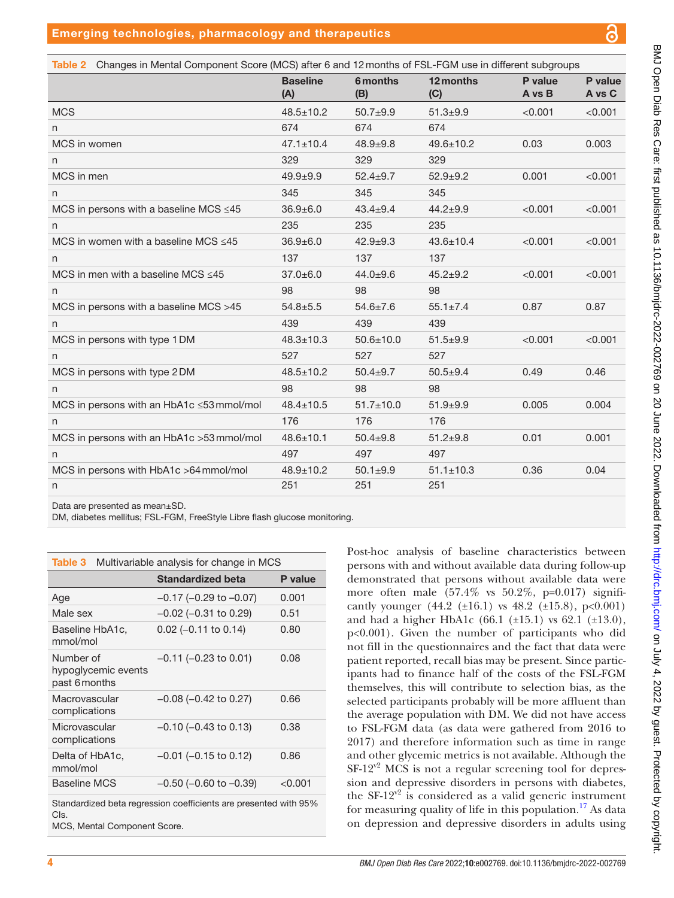<span id="page-3-0"></span>

|                                           | Table 2 Changes in Mental Component Score (MCS) after 6 and 12 months of FSL-FGM use in different subgroups |                 |                  |                   |                   |  |
|-------------------------------------------|-------------------------------------------------------------------------------------------------------------|-----------------|------------------|-------------------|-------------------|--|
|                                           | <b>Baseline</b><br>(A)                                                                                      | 6 months<br>(B) | 12 months<br>(C) | P value<br>A vs B | P value<br>A vs C |  |
| <b>MCS</b>                                | $48.5 \pm 10.2$                                                                                             | $50.7 + 9.9$    | $51.3 + 9.9$     | < 0.001           | < 0.001           |  |
| n                                         | 674                                                                                                         | 674             | 674              |                   |                   |  |
| MCS in women                              | $47.1 \pm 10.4$                                                                                             | $48.9 + 9.8$    | $49.6 \pm 10.2$  | 0.03              | 0.003             |  |
| n                                         | 329                                                                                                         | 329             | 329              |                   |                   |  |
| MCS in men                                | $49.9 + 9.9$                                                                                                | $52.4 \pm 9.7$  | $52.9 + 9.2$     | 0.001             | < 0.001           |  |
| n                                         | 345                                                                                                         | 345             | 345              |                   |                   |  |
| MCS in persons with a baseline MCS ≤45    | $36.9 + 6.0$                                                                                                | $43.4 \pm 9.4$  | $44.2 \pm 9.9$   | < 0.001           | < 0.001           |  |
| n                                         | 235                                                                                                         | 235             | 235              |                   |                   |  |
| MCS in women with a baseline MCS ≤45      | $36.9 + 6.0$                                                                                                | $42.9 + 9.3$    | $43.6 \pm 10.4$  | < 0.001           | < 0.001           |  |
| n                                         | 137                                                                                                         | 137             | 137              |                   |                   |  |
| MCS in men with a baseline MCS $\leq$ 45  | $37.0 + 6.0$                                                                                                | $44.0 + 9.6$    | $45.2 + 9.2$     | < 0.001           | < 0.001           |  |
| n                                         | 98                                                                                                          | 98              | 98               |                   |                   |  |
| MCS in persons with a baseline MCS >45    | $54.8 + 5.5$                                                                                                | $54.6 \pm 7.6$  | $55.1 \pm 7.4$   | 0.87              | 0.87              |  |
| n                                         | 439                                                                                                         | 439             | 439              |                   |                   |  |
| MCS in persons with type 1DM              | $48.3 \pm 10.3$                                                                                             | $50.6 \pm 10.0$ | $51.5 \pm 9.9$   | < 0.001           | < 0.001           |  |
| n                                         | 527                                                                                                         | 527             | 527              |                   |                   |  |
| MCS in persons with type 2DM              | $48.5 \pm 10.2$                                                                                             | $50.4 \pm 9.7$  | $50.5 \pm 9.4$   | 0.49              | 0.46              |  |
| n                                         | 98                                                                                                          | 98              | 98               |                   |                   |  |
| MCS in persons with an HbA1c ≤53 mmol/mol | $48.4 \pm 10.5$                                                                                             | $51.7 \pm 10.0$ | $51.9 + 9.9$     | 0.005             | 0.004             |  |
| n                                         | 176                                                                                                         | 176             | 176              |                   |                   |  |
| MCS in persons with an HbA1c >53 mmol/mol | $48.6 \pm 10.1$                                                                                             | $50.4 + 9.8$    | $51.2 \pm 9.8$   | 0.01              | 0.001             |  |
| n                                         | 497                                                                                                         | 497             | 497              |                   |                   |  |
| MCS in persons with HbA1c >64 mmol/mol    | $48.9 \pm 10.2$                                                                                             | $50.1 + 9.9$    | $51.1 \pm 10.3$  | 0.36              | 0.04              |  |
| n                                         | 251                                                                                                         | 251             | 251              |                   |                   |  |

Data are presented as mean±SD.

DM, diabetes mellitus; FSL-FGM, FreeStyle Libre flash glucose monitoring.

<span id="page-3-1"></span>

| Table 3                        | Multivariable analysis for change in MCS |                                |           |  |  |  |
|--------------------------------|------------------------------------------|--------------------------------|-----------|--|--|--|
|                                |                                          | <b>Standardized beta</b>       | P value   |  |  |  |
| Age                            |                                          | $-0.17$ ( $-0.29$ to $-0.07$ ) | 0.001     |  |  |  |
| Male sex                       |                                          | $-0.02$ ( $-0.31$ to 0.29)     | 0.51      |  |  |  |
| Baseline HbA1c,<br>mmol/mol    |                                          | $0.02$ (-0.11 to 0.14)         | 0.80      |  |  |  |
| Number of<br>past 6 months     | hypoglycemic events                      | $-0.11$ ( $-0.23$ to 0.01)     | 0.08      |  |  |  |
| Macrovascular<br>complications |                                          | $-0.08$ ( $-0.42$ to 0.27)     | 0.66      |  |  |  |
| Microvascular<br>complications |                                          | $-0.10$ ( $-0.43$ to 0.13)     | 0.38      |  |  |  |
| Delta of HbA1c,<br>mmol/mol    |                                          | $-0.01$ ( $-0.15$ to 0.12)     | 0.86      |  |  |  |
| <b>Baseline MCS</b>            |                                          | $-0.50$ ( $-0.60$ to $-0.39$ ) | $<$ 0.001 |  |  |  |
|                                |                                          |                                |           |  |  |  |

Standardized beta regression coefficients are presented with 95% CIs.

MCS, Mental Component Score.

Post-hoc analysis of baseline characteristics between persons with and without available data during follow-up demonstrated that persons without available data were more often male (57.4% vs 50.2%, p=0.017) significantly younger  $(44.2 \pm 16.1)$  vs  $48.2 \pm 15.8$ , p<0.001) and had a higher HbA1c (66.1  $(\pm 15.1)$  vs 62.1  $(\pm 13.0)$ , p<0.001). Given the number of participants who did not fill in the questionnaires and the fact that data were patient reported, recall bias may be present. Since participants had to finance half of the costs of the FSL-FGM themselves, this will contribute to selection bias, as the selected participants probably will be more affluent than the average population with DM. We did not have access to FSL-FGM data (as data were gathered from 2016 to 2017) and therefore information such as time in range and other glycemic metrics is not available. Although the  $SF-12<sup>v2</sup>$  MCS is not a regular screening tool for depression and depressive disorders in persons with diabetes, the  $SF-12^{v^2}$  is considered as a valid generic instrument for measuring quality of life in this population.<sup>17</sup> As data on depression and depressive disorders in adults using